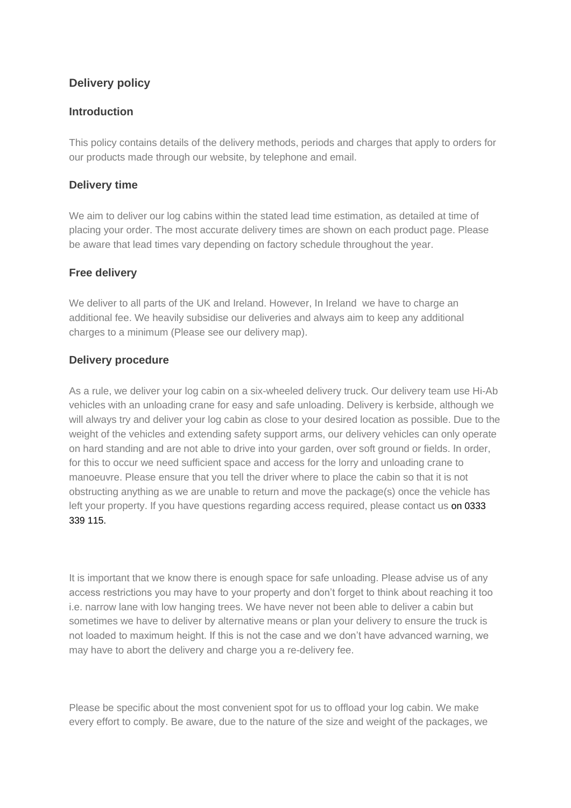# **Delivery policy**

### **Introduction**

This policy contains details of the delivery methods, periods and charges that apply to orders for our products made through our website, by telephone and email.

## **Delivery time**

We aim to deliver our log cabins within the stated lead time estimation, as detailed at time of placing your order. The most accurate delivery times are shown on each product page. Please be aware that lead times vary depending on factory schedule throughout the year.

#### **Free delivery**

We deliver to all parts of the UK and Ireland. However, In Ireland we have to charge an additional fee. We heavily subsidise our deliveries and always aim to keep any additional charges to a minimum (Please see our delivery map).

#### **Delivery procedure**

As a rule, we deliver your log cabin on a six-wheeled delivery truck. Our delivery team use Hi-Ab vehicles with an unloading crane for easy and safe unloading. Delivery is kerbside, although we will always try and deliver your log cabin as close to your desired location as possible. Due to the weight of the vehicles and extending safety support arms, our delivery vehicles can only operate on hard standing and are not able to drive into your garden, over soft ground or fields. In order, for this to occur we need sufficient space and access for the lorry and unloading crane to manoeuvre. Please ensure that you tell the driver where to place the cabin so that it is not obstructing anything as we are unable to return and move the package(s) once the vehicle has left your property. If you have questions regarding access required, please contact us on 0333 339 115.

It is important that we know there is enough space for safe unloading. Please advise us of any access restrictions you may have to your property and don't forget to think about reaching it too i.e. narrow lane with low hanging trees. We have never not been able to deliver a cabin but sometimes we have to deliver by alternative means or plan your delivery to ensure the truck is not loaded to maximum height. If this is not the case and we don't have advanced warning, we may have to abort the delivery and charge you a re-delivery fee.

Please be specific about the most convenient spot for us to offload your log cabin. We make every effort to comply. Be aware, due to the nature of the size and weight of the packages, we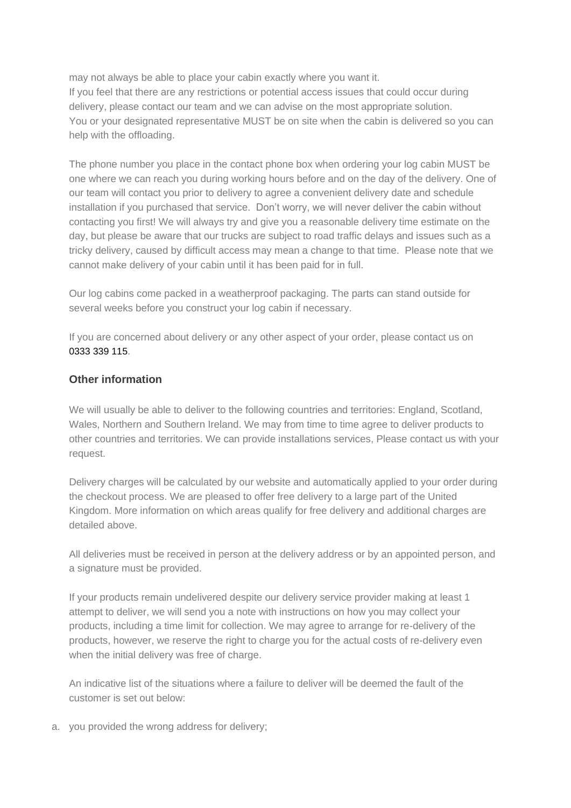may not always be able to place your cabin exactly where you want it. If you feel that there are any restrictions or potential access issues that could occur during delivery, please contact our team and we can advise on the most appropriate solution. You or your designated representative MUST be on site when the cabin is delivered so you can help with the offloading.

The phone number you place in the contact phone box when ordering your log cabin MUST be one where we can reach you during working hours before and on the day of the delivery. One of our team will contact you prior to delivery to agree a convenient delivery date and schedule installation if you purchased that service. Don't worry, we will never deliver the cabin without contacting you first! We will always try and give you a reasonable delivery time estimate on the day, but please be aware that our trucks are subject to road traffic delays and issues such as a tricky delivery, caused by difficult access may mean a change to that time. Please note that we cannot make delivery of your cabin until it has been paid for in full.

Our log cabins come packed in a weatherproof packaging. The parts can stand outside for several weeks before you construct your log cabin if necessary.

If you are concerned about delivery or any other aspect of your order, please contact us on 0333 339 115.

#### **Other information**

We will usually be able to deliver to the following countries and territories: England, Scotland, Wales, Northern and Southern Ireland. We may from time to time agree to deliver products to other countries and territories. We can provide installations services, Please contact us with your request.

Delivery charges will be calculated by our website and automatically applied to your order during the checkout process. We are pleased to offer free delivery to a large part of the United Kingdom. More information on which areas qualify for free delivery and additional charges are detailed above.

All deliveries must be received in person at the delivery address or by an appointed person, and a signature must be provided.

If your products remain undelivered despite our delivery service provider making at least 1 attempt to deliver, we will send you a note with instructions on how you may collect your products, including a time limit for collection. We may agree to arrange for re-delivery of the products, however, we reserve the right to charge you for the actual costs of re-delivery even when the initial delivery was free of charge.

An indicative list of the situations where a failure to deliver will be deemed the fault of the customer is set out below:

a. you provided the wrong address for delivery;